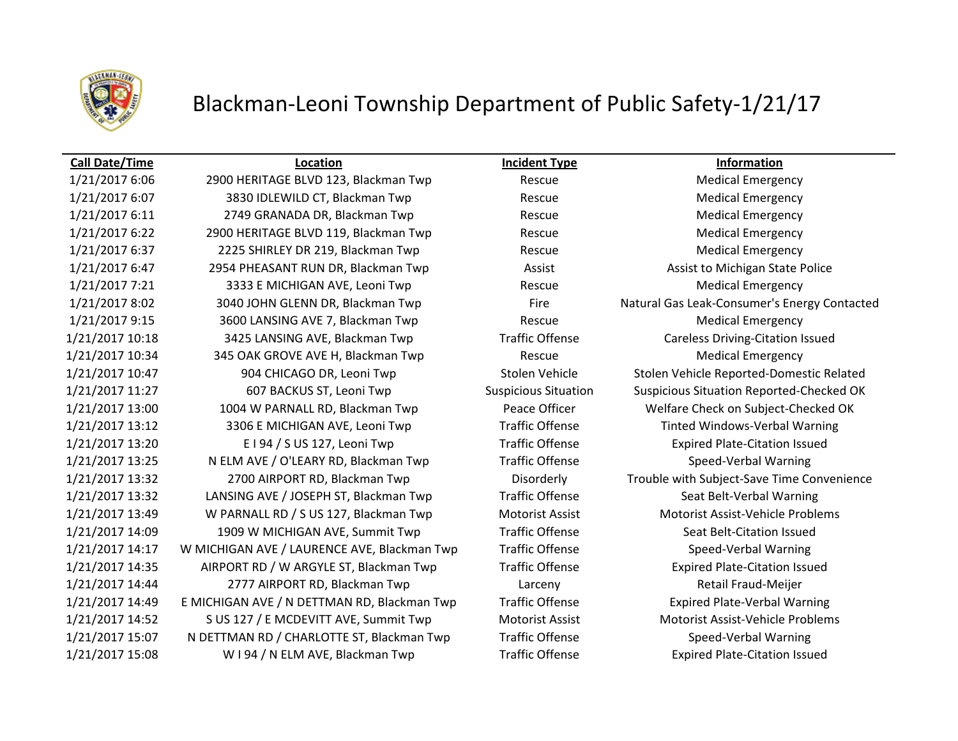

# Blackman-Leoni Township Department of Public Safety-1/21/17

1/21/2017 15:08 W I 94 / N ELM AVE, Blackman Twp Traffic Offense Expired Plate-Citation Issued

**Call Date/Time Location Incident Type Information** 1/21/2017 6:06 2900 HERITAGE BLVD 123, Blackman Twp Rescue Rescue Medical Emergency 1/21/2017 6:07 3830 IDLEWILD CT, Blackman Twp Rescue Medical Emergency 1/21/2017 6:11 2749 GRANADA DR, Blackman Twp Rescue Medical Emergency 1/21/2017 6:22 2900 HERITAGE BLVD 119, Blackman Twp Rescue Medical Emergency 1/21/2017 6:37 2225 SHIRLEY DR 219, Blackman Twp Rescue Medical Emergency 1/21/2017 6:47 2954 PHEASANT RUN DR, Blackman Twp **Assist Assist Assist Assist Communist Assist Assist to Michigan State Police** 1/21/2017 7:21 3333 E MICHIGAN AVE, Leoni Twp Rescue Rescue Medical Emergency 1/21/2017 8:02 3040 JOHN GLENN DR, Blackman Twp Fire Natural Gas Leak-Consumer's Energy Contacted 1/21/2017 9:15 3600 LANSING AVE 7, Blackman Twp Rescue Medical Emergency 1/21/2017 10:18 3425 LANSING AVE, Blackman Twp Traffic Offense Careless Driving-Citation Issued 1/21/2017 10:34 345 OAK GROVE AVE H, Blackman Twp Rescue Medical Emergency 1/21/2017 10:47 904 CHICAGO DR, Leoni Twp Stolen Vehicle Stolen Vehicle Reported-Domestic Related 1/21/2017 11:27 607 BACKUS ST, Leoni Twp Suspicious Situation Suspicious Situation Reported-Checked OK 1/21/2017 13:00 1004 W PARNALL RD, Blackman Twp Peace Officer Welfare Check on Subject-Checked OK 1/21/2017 13:12 3306 E MICHIGAN AVE, Leoni Twp Traffic Offense Tinted Windows-Verbal Warning 1/21/2017 13:20 E I 94 / S US 127, Leoni Twp Traffic Offense Expired Plate-Citation Issued 1/21/2017 13:25 N ELM AVE / O'LEARY RD, Blackman Twp Traffic Offense Speed-Verbal Warning 1/21/2017 13:32 2700 AIRPORT RD, Blackman Twp Disorderly Trouble with Subject-Save Time Convenience 1/21/2017 13:32 LANSING AVE / JOSEPH ST, Blackman Twp Traffic Offense Seat Belt-Verbal Warning 1/21/2017 13:49 W PARNALL RD / S US 127, Blackman Twp Motorist Assist Motorist Assist-Vehicle Problems 1/21/2017 14:09 1909 W MICHIGAN AVE, Summit Twp Traffic Offense Seat Belt-Citation Issued 1/21/2017 14:17 W MICHIGAN AVE / LAURENCE AVE, Blackman Twp Traffic Offense Speed-Verbal Warning 1/21/2017 14:35 AIRPORT RD / W ARGYLE ST, Blackman Twp Traffic Offense Expired Plate-Citation Issued 1/21/2017 14:44 2777 AIRPORT RD, Blackman Twp Larceny Retail Fraud-Meijer 1/21/2017 14:49 E MICHIGAN AVE / N DETTMAN RD, Blackman Twp Traffic Offense Expired Plate-Verbal Warning 1/21/2017 14:52 S US 127 / E MCDEVITT AVE, Summit Twp Motorist Assist Motorist Assist-Vehicle Problems 1/21/2017 15:07 N DETTMAN RD / CHARLOTTE ST, Blackman Twp Traffic Offense Speed-Verbal Warning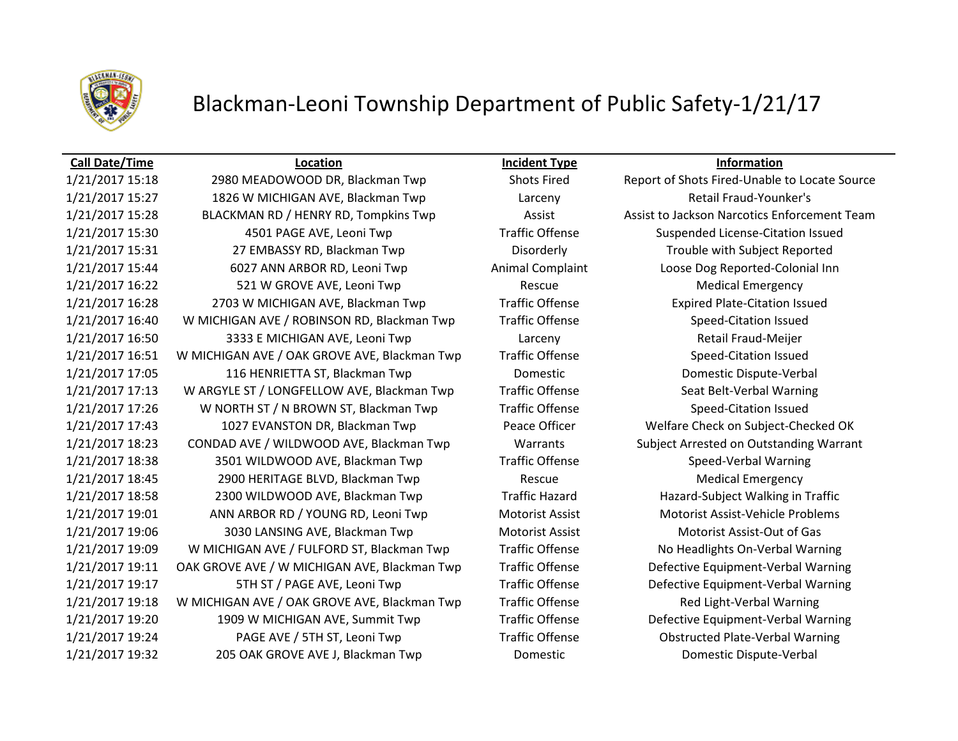

# Blackman-Leoni Township Department of Public Safety-1/21/17

## **Call Date/Time Location Incident Type Information**

1/21/2017 15:18 2980 MEADOWOOD DR, Blackman Twp Shots Fired Report of Shots Fired-Unable to Locate Source 1/21/2017 15:27 1826 W MICHIGAN AVE, Blackman Twp Larceny Retail Fraud-Younker's 1/21/2017 15:28 BLACKMAN RD / HENRY RD, Tompkins Twp Assist Assist Assist Assist to Jackson Narcotics Enforcement Team 1/21/2017 15:30 4501 PAGE AVE, Leoni Twp Traffic Offense Suspended License-Citation Issued 1/21/2017 15:31 27 EMBASSY RD, Blackman Twp Disorderly Trouble with Subject Reported 1/21/2017 15:44 6027 ANN ARBOR RD, Leoni Twp Animal Complaint Loose Dog Reported-Colonial Inn 1/21/2017 16:22 521 W GROVE AVE, Leoni Twp Rescue Rescue Medical Emergency 1/21/2017 16:28 2703 W MICHIGAN AVE, Blackman Twp Traffic Offense Expired Plate-Citation Issued 1/21/2017 16:40 W MICHIGAN AVE / ROBINSON RD, Blackman Twp Traffic Offense Speed-Citation Issued 1/21/2017 16:50 3333 E MICHIGAN AVE, Leoni Twp Larceny Retail Fraud-Meijer 1/21/2017 16:51 W MICHIGAN AVE / OAK GROVE AVE, Blackman Twp Traffic Offense Speed-Citation Issued 1/21/2017 17:05 116 HENRIETTA ST, Blackman Twp Domestic Domestic Dispute-Verbal 1/21/2017 17:13 W ARGYLE ST / LONGFELLOW AVE, Blackman Twp Traffic Offense Seat Belt-Verbal Warning 1/21/2017 17:26 W NORTH ST / N BROWN ST, Blackman Twp Traffic Offense Speed-Citation Issued 1/21/2017 17:43 1027 EVANSTON DR, Blackman Twp Peace Officer Welfare Check on Subject-Checked OK 1/21/2017 18:23 CONDAD AVE / WILDWOOD AVE, Blackman Twp Warrants Subject Arrested on Outstanding Warrant 1/21/2017 18:38 3501 WILDWOOD AVE, Blackman Twp Traffic Offense Speed-Verbal Warning 1/21/2017 18:45 2900 HERITAGE BLVD, Blackman Twp Rescue Medical Emergency 1/21/2017 18:58 2300 WILDWOOD AVE, Blackman Twp Traffic Hazard Hazard-Subject Walking in Traffic 1/21/2017 19:01 ANN ARBOR RD / YOUNG RD, Leoni Twp Motorist Assist Motorist Assist-Vehicle Problems 1/21/2017 19:06 3030 LANSING AVE, Blackman Twp Motorist Assist Motorist Assist-Out of Gas 1/21/2017 19:09 W MICHIGAN AVE / FULFORD ST, Blackman Twp Traffic Offense No Headlights On-Verbal Warning 1/21/2017 19:11 OAK GROVE AVE / W MICHIGAN AVE, Blackman Twp Traffic Offense Defective Equipment-Verbal Warning 1/21/2017 19:17 5TH ST / PAGE AVE, Leoni Twp Traffic Offense Defective Equipment-Verbal Warning 1/21/2017 19:18 W MICHIGAN AVE / OAK GROVE AVE, Blackman Twp Traffic Offense Red Light-Verbal Warning 1/21/2017 19:20 1909 W MICHIGAN AVE, Summit Twp Traffic Offense Defective Equipment-Verbal Warning 1/21/2017 19:24 PAGE AVE / 5TH ST, Leoni Twp Traffic Offense Obstructed Plate-Verbal Warning 1/21/2017 19:32 205 OAK GROVE AVE J, Blackman Twp Domestic Domestic Dispute-Verbal